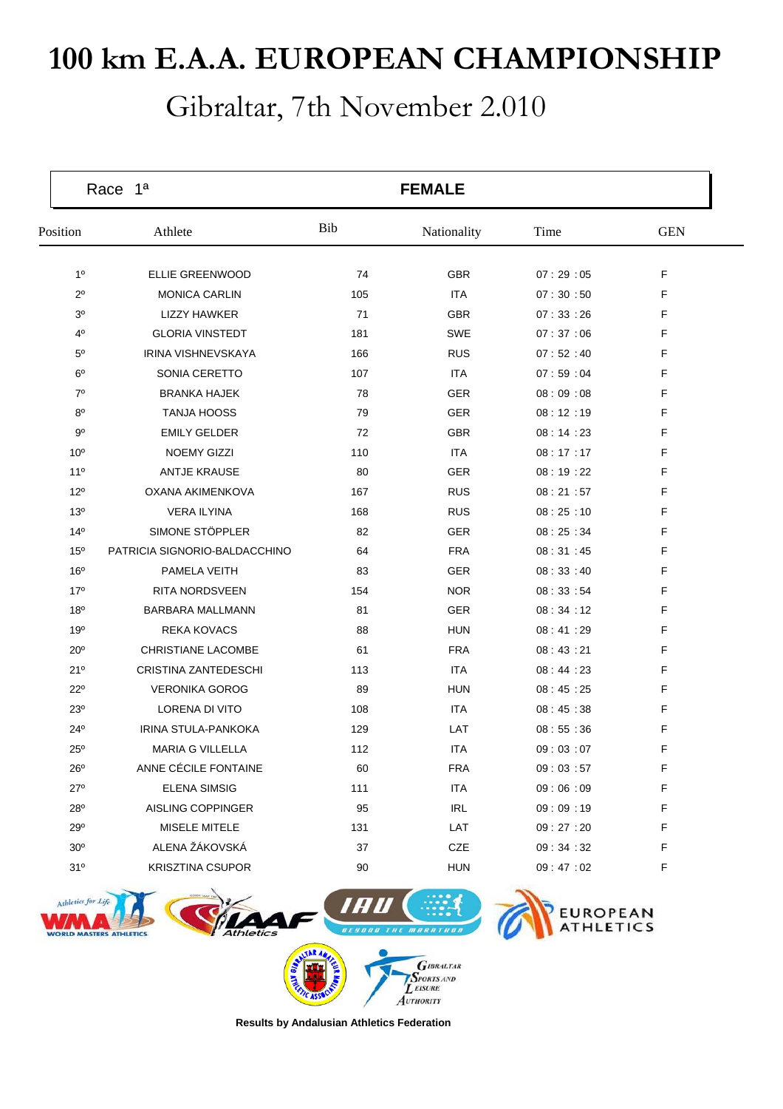## **100 km E.A.A. EUROPEAN CHAMPIONSHIP**

## Gibraltar, 7th November 2.010

| Race 1ª         |                               |     | <b>FEMALE</b> |          |            |  |
|-----------------|-------------------------------|-----|---------------|----------|------------|--|
| Position        | Athlete                       | Bib | Nationality   | Time     | <b>GEN</b> |  |
| 1 <sup>0</sup>  | <b>ELLIE GREENWOOD</b>        | 74  | <b>GBR</b>    | 07:29:05 | F          |  |
| $2^{\circ}$     | <b>MONICA CARLIN</b>          | 105 | <b>ITA</b>    | 07:30:50 | F          |  |
| 30              | <b>LIZZY HAWKER</b>           | 71  | <b>GBR</b>    | 07:33:26 | F          |  |
| $4^{\circ}$     | <b>GLORIA VINSTEDT</b>        | 181 | <b>SWE</b>    | 07:37:06 | F          |  |
| $5^{\circ}$     | <b>IRINA VISHNEVSKAYA</b>     | 166 | <b>RUS</b>    | 07:52:40 | F          |  |
| $6^{\circ}$     | SONIA CERETTO                 | 107 | <b>ITA</b>    | 07:59:04 | F          |  |
| $7^\circ$       | <b>BRANKA HAJEK</b>           | 78  | <b>GER</b>    | 08:09:08 | F          |  |
| $8^{\circ}$     | <b>TANJA HOOSS</b>            | 79  | <b>GER</b>    | 08:12:19 | F          |  |
| 90              | <b>EMILY GELDER</b>           | 72  | <b>GBR</b>    | 08:14:23 | F          |  |
| 10 <sup>o</sup> | <b>NOEMY GIZZI</b>            | 110 | <b>ITA</b>    | 08:17:17 | F          |  |
| 11 <sup>0</sup> | <b>ANTJE KRAUSE</b>           | 80  | <b>GER</b>    | 08:19:22 | F          |  |
| 12°             | OXANA AKIMENKOVA              | 167 | <b>RUS</b>    | 08:21:57 | F          |  |
| 13 <sup>o</sup> | <b>VERA ILYINA</b>            | 168 | <b>RUS</b>    | 08:25:10 | F          |  |
| 14 <sup>°</sup> | SIMONE STÖPPLER               | 82  | <b>GER</b>    | 08:25:34 | F          |  |
| 15 <sup>o</sup> | PATRICIA SIGNORIO-BALDACCHINO | 64  | <b>FRA</b>    | 08:31:45 | F          |  |
| 16 <sup>o</sup> | PAMELA VEITH                  | 83  | <b>GER</b>    | 08:33:40 | F          |  |
| $17^{\circ}$    | <b>RITA NORDSVEEN</b>         | 154 | <b>NOR</b>    | 08:33:54 | F          |  |
| 18 <sup>o</sup> | BARBARA MALLMANN              | 81  | <b>GER</b>    | 08:34:12 | F          |  |
| 19 <sup>o</sup> | <b>REKA KOVACS</b>            | 88  | <b>HUN</b>    | 08:41:29 | F          |  |
| 20 <sup>o</sup> | <b>CHRISTIANE LACOMBE</b>     | 61  | <b>FRA</b>    | 08:43:21 | F          |  |
| 21°             | CRISTINA ZANTEDESCHI          | 113 | <b>ITA</b>    | 08:44:23 | F          |  |
| $22^{\circ}$    | <b>VERONIKA GOROG</b>         | 89  | <b>HUN</b>    | 08:45:25 | F          |  |
| $23^{\circ}$    | <b>LORENA DI VITO</b>         | 108 | <b>ITA</b>    | 08:45:38 | F          |  |
| $24^{\circ}$    | IRINA STULA-PANKOKA           | 129 | LAT           | 08:55:36 | F          |  |
| $25^{\circ}$    | <b>MARIA G VILLELLA</b>       | 112 | <b>ITA</b>    | 09:03:07 | F          |  |
| $26^{\circ}$    | ANNE CÉCILE FONTAINE          | 60  | <b>FRA</b>    | 09:03:57 | F          |  |
| $27^\circ$      | <b>ELENA SIMSIG</b>           | 111 | <b>ITA</b>    | 09:06:09 | F          |  |
| 28°             | AISLING COPPINGER             | 95  | <b>IRL</b>    | 09:09:19 | F          |  |
| 29°             | MISELE MITELE                 | 131 | LAT           | 09:27:20 | F          |  |
| 30 <sup>o</sup> | ALENA ŽÁKOVSKÁ                | 37  | CZE           | 09:34:32 | F          |  |
| 31°             | <b>KRISZTINA CSUPOR</b>       | 90  | <b>HUN</b>    | 09:47:02 | F          |  |



**Results by Andalusian Athletics Federation**

AUTHORITY